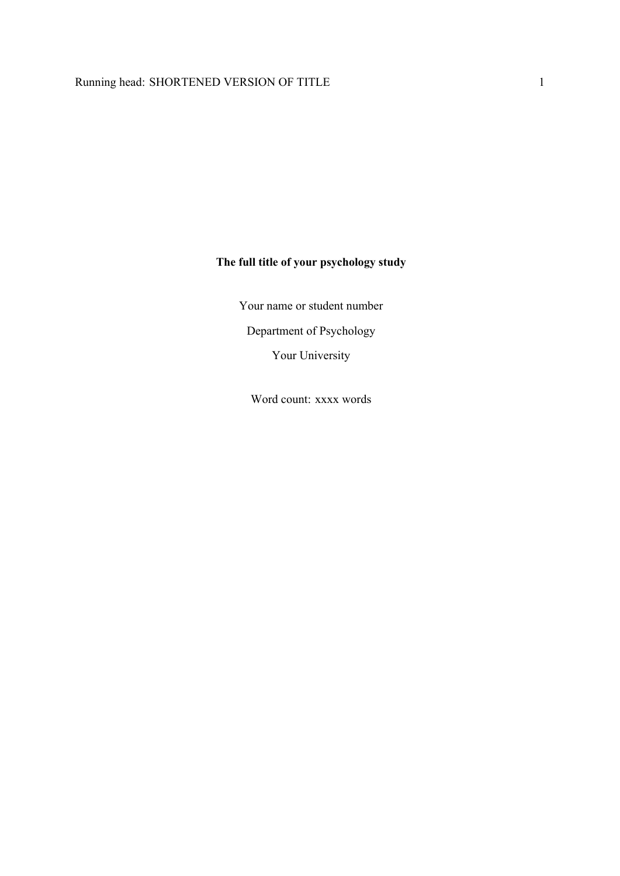# **The full title of your psychology study**

Your name or student number Department of Psychology

Your University

Word count: xxxx words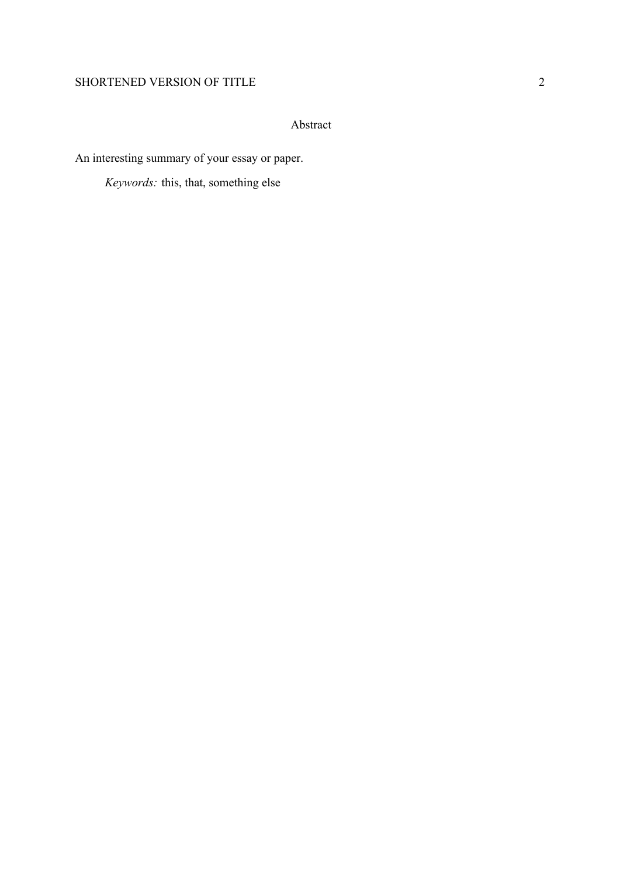# SHORTENED VERSION OF TITLE 2

# Abstract

An interesting summary of your essay or paper.

*Keywords:* this, that, something else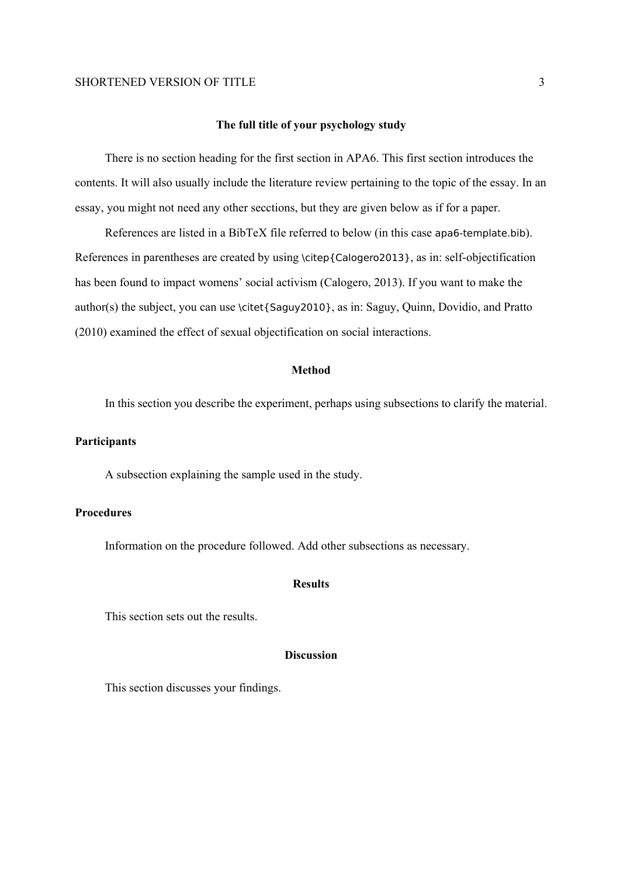#### SHORTENED VERSION OF TITLE 3

#### **The full title of your psychology study**

There is no section heading for the first section in APA6. This first section introduces the contents. It will also usually include the literature review pertaining to the topic of the essay. In an essay, you might not need any other secctions, but they are given below as if for a paper.

References are listed in a BibTeX file referred to below (in this case apa6-template.bib). References in parentheses are created by using \citep{Calogero2013}, as in: self-objectification has been found to impact womens' social activism (Calogero, 2013). If you want to make the author(s) the subject, you can use \citet{Saguy2010}, as in: Saguy, Quinn, Dovidio, and Pratto (2010) examined the effect of sexual objectification on social interactions.

#### **Method**

In this section you describe the experiment, perhaps using subsections to clarify the material.

#### **Participants**

A subsection explaining the sample used in the study.

## **Procedures**

Information on the procedure followed. Add other subsections as necessary.

#### **Results**

This section sets out the results.

## **Discussion**

This section discusses your findings.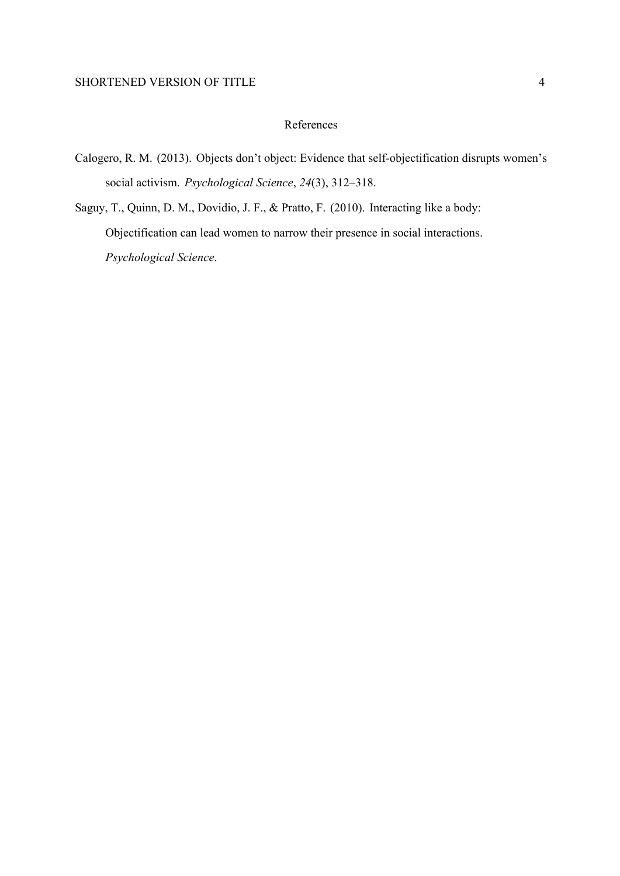# References

- Calogero, R. M. (2013). Objects don't object: Evidence that self-objectification disrupts women's social activism. *Psychological Science*, *24*(3), 312–318.
- Saguy, T., Quinn, D. M., Dovidio, J. F., & Pratto, F. (2010). Interacting like a body: Objectification can lead women to narrow their presence in social interactions. *Psychological Science*.